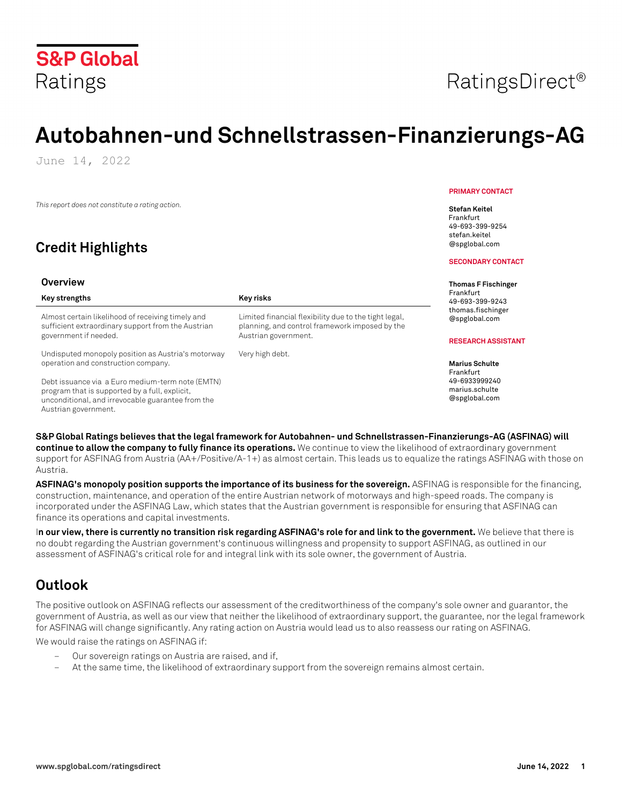

# **Autobahnen-und Schnellstrassen-Finanzierungs-AG**

June 14, 2022

*This report does not constitute a rating action.*

## **Credit Highlights**

#### **Overview**

| Key strengths                                                                                           | Key risks                                                                                               | Frankfurt<br>49-693-399-9243       |
|---------------------------------------------------------------------------------------------------------|---------------------------------------------------------------------------------------------------------|------------------------------------|
| Almost certain likelihood of receiving timely and<br>sufficient extraordinary support from the Austrian | Limited financial flexibility due to the tight legal,<br>planning, and control framework imposed by the | thomas.fischinger<br>@spglobal.com |
| government if needed.                                                                                   | Austrian government.                                                                                    | <b>RESEARCH ASSISTANT</b>          |
| Undisputed monopoly position as Austria's motorway<br>operation and construction company.               | Very high debt.                                                                                         | <b>Marius Schulte</b>              |
| Debt issuance via a Euro medium-term note (EMTN)                                                        |                                                                                                         | Frankfurt<br>49-6933999240         |

program that is supported by a full, explicit, unconditional, and irrevocable guarantee from the Austrian government.

#### **PRIMARY CONTACT**

**Stefan Keitel** Frankfurt 49-693-399-9254 stefan.keitel @spglobal.com

#### **SECONDARY CONTACT**

**Thomas F Fischinger** 

marius.schulte @spglobal.com

**S&P Global Ratings believes that the legal framework for Autobahnen- und Schnellstrassen-Finanzierungs-AG (ASFINAG) will continue to allow the company to fully finance its operations.** We continue to view the likelihood of extraordinary government support for ASFINAG from Austria (AA+/Positive/A-1+) as almost certain. This leads us to equalize the ratings ASFINAG with those on Austria.

**ASFINAG's monopoly position supports the importance of its business for the sovereign.** ASFINAG is responsible for the financing, construction, maintenance, and operation of the entire Austrian network of motorways and high-speed roads. The company is incorporated under the ASFINAG Law, which states that the Austrian government is responsible for ensuring that ASFINAG can finance its operations and capital investments.

I**n our view, there is currently no transition risk regarding ASFINAG's role for and link to the government.** We believe that there is no doubt regarding the Austrian government's continuous willingness and propensity to support ASFINAG, as outlined in our assessment of ASFINAG's critical role for and integral link with its sole owner, the government of Austria.

## **Outlook**

The positive outlook on ASFINAG reflects our assessment of the creditworthiness of the company's sole owner and guarantor, the government of Austria, as well as our view that neither the likelihood of extraordinary support, the guarantee, nor the legal framework for ASFINAG will change significantly. Any rating action on Austria would lead us to also reassess our rating on ASFINAG.

We would raise the ratings on ASFINAG if:

- Our sovereign ratings on Austria are raised, and if,
- At the same time, the likelihood of extraordinary support from the sovereign remains almost certain.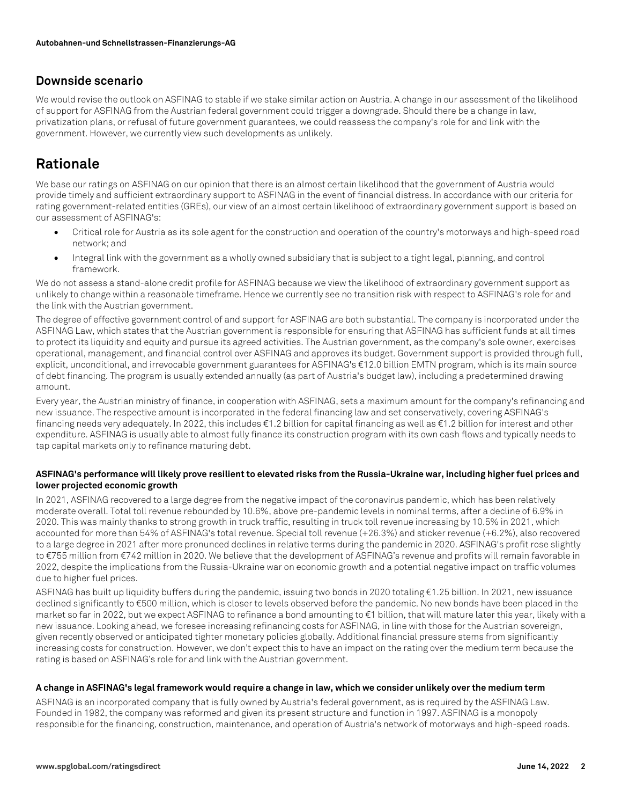### **Downside scenario**

We would revise the outlook on ASFINAG to stable if we stake similar action on Austria. A change in our assessment of the likelihood of support for ASFINAG from the Austrian federal government could trigger a downgrade. Should there be a change in law, privatization plans, or refusal of future government guarantees, we could reassess the company's role for and link with the government. However, we currently view such developments as unlikely.

## **Rationale**

We base our ratings on ASFINAG on our opinion that there is an almost certain likelihood that the government of Austria would provide timely and sufficient extraordinary support to ASFINAG in the event of financial distress. In accordance with our criteria for rating government-related entities (GREs), our view of an almost certain likelihood of extraordinary government support is based on our assessment of ASFINAG's:

- Critical role for Austria as its sole agent for the construction and operation of the country's motorways and high-speed road network; and
- Integral link with the government as a wholly owned subsidiary that is subject to a tight legal, planning, and control framework.

We do not assess a stand-alone credit profile for ASFINAG because we view the likelihood of extraordinary government support as unlikely to change within a reasonable timeframe. Hence we currently see no transition risk with respect to ASFINAG's role for and the link with the Austrian government.

The degree of effective government control of and support for ASFINAG are both substantial. The company is incorporated under the ASFINAG Law, which states that the Austrian government is responsible for ensuring that ASFINAG has sufficient funds at all times to protect its liquidity and equity and pursue its agreed activities. The Austrian government, as the company's sole owner, exercises operational, management, and financial control over ASFINAG and approves its budget. Government support is provided through full, explicit, unconditional, and irrevocable government guarantees for ASFINAG's €12.0 billion EMTN program, which is its main source of debt financing. The program is usually extended annually (as part of Austria's budget law), including a predetermined drawing amount.

Every year, the Austrian ministry of finance, in cooperation with ASFINAG, sets a maximum amount for the company's refinancing and new issuance. The respective amount is incorporated in the federal financing law and set conservatively, covering ASFINAG's financing needs very adequately. In 2022, this includes €1.2 billion for capital financing as well as €1.2 billion for interest and other expenditure. ASFINAG is usually able to almost fully finance its construction program with its own cash flows and typically needs to tap capital markets only to refinance maturing debt.

#### **ASFINAG's performance will likely prove resilient to elevated risks from the Russia-Ukraine war, including higher fuel prices and lower projected economic growth**

In 2021, ASFINAG recovered to a large degree from the negative impact of the coronavirus pandemic, which has been relatively moderate overall. Total toll revenue rebounded by 10.6%, above pre-pandemic levels in nominal terms, after a decline of 6.9% in 2020. This was mainly thanks to strong growth in truck traffic, resulting in truck toll revenue increasing by 10.5% in 2021, which accounted for more than 54% of ASFINAG's total revenue. Special toll revenue (+26.3%) and sticker revenue (+6.2%), also recovered to a large degree in 2021 after more pronunced declines in relative terms during the pandemic in 2020. ASFINAG's profit rose slightly to €755 million from €742 million in 2020. We believe that the development of ASFINAG's revenue and profits will remain favorable in 2022, despite the implications from the Russia-Ukraine war on economic growth and a potential negative impact on traffic volumes due to higher fuel prices.

ASFINAG has built up liquidity buffers during the pandemic, issuing two bonds in 2020 totaling €1.25 billion. In 2021, new issuance declined significantly to €500 million, which is closer to levels observed before the pandemic. No new bonds have been placed in the market so far in 2022, but we expect ASFINAG to refinance a bond amounting to €1 billion, that will mature later this year, likely with a new issuance. Looking ahead, we foresee increasing refinancing costs for ASFINAG, in line with those for the Austrian sovereign, given recently observed or anticipated tighter monetary policies globally. Additional financial pressure stems from significantly increasing costs for construction. However, we don't expect this to have an impact on the rating over the medium term because the rating is based on ASFINAG's role for and link with the Austrian government.

#### **A change in ASFINAG's legal framework would require a change in law, which we consider unlikely over the medium term**

ASFINAG is an incorporated company that is fully owned by Austria's federal government, as is required by the ASFINAG Law. Founded in 1982, the company was reformed and given its present structure and function in 1997. ASFINAG is a monopoly responsible for the financing, construction, maintenance, and operation of Austria's network of motorways and high-speed roads.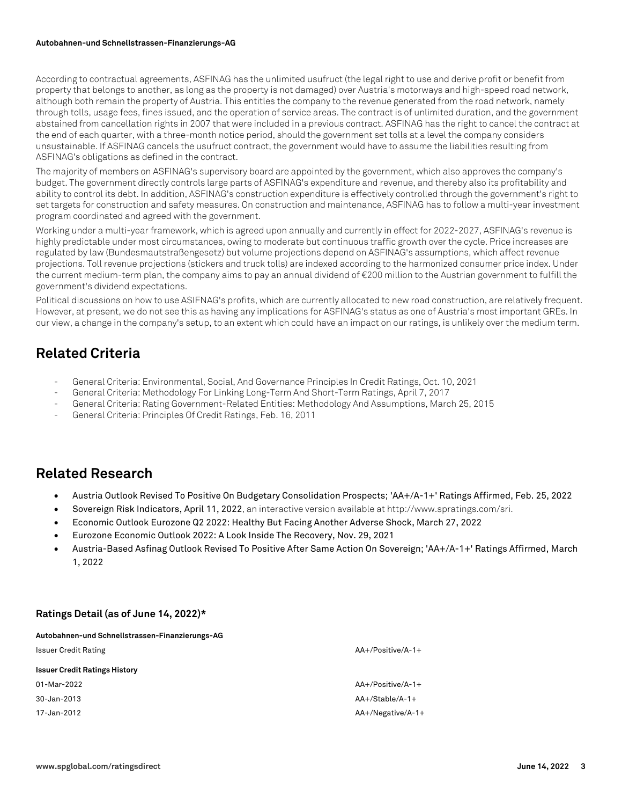#### **Autobahnen-und Schnellstrassen-Finanzierungs-AG**

According to contractual agreements, ASFINAG has the unlimited usufruct (the legal right to use and derive profit or benefit from property that belongs to another, as long as the property is not damaged) over Austria's motorways and high-speed road network, although both remain the property of Austria. This entitles the company to the revenue generated from the road network, namely through tolls, usage fees, fines issued, and the operation of service areas. The contract is of unlimited duration, and the government abstained from cancellation rights in 2007 that were included in a previous contract. ASFINAG has the right to cancel the contract at the end of each quarter, with a three-month notice period, should the government set tolls at a level the company considers unsustainable. If ASFINAG cancels the usufruct contract, the government would have to assume the liabilities resulting from ASFINAG's obligations as defined in the contract.

The majority of members on ASFINAG's supervisory board are appointed by the government, which also approves the company's budget. The government directly controls large parts of ASFINAG's expenditure and revenue, and thereby also its profitability and ability to control its debt. In addition, ASFINAG's construction expenditure is effectively controlled through the government's right to set targets for construction and safety measures. On construction and maintenance, ASFINAG has to follow a multi-year investment program coordinated and agreed with the government.

Working under a multi-year framework, which is agreed upon annually and currently in effect for 2022-2027, ASFINAG's revenue is highly predictable under most circumstances, owing to moderate but continuous traffic growth over the cycle. Price increases are regulated by law (Bundesmautstraßengesetz) but volume projections depend on ASFINAG's assumptions, which affect revenue projections. Toll revenue projections (stickers and truck tolls) are indexed according to the harmonized consumer price index. Under the current medium-term plan, the company aims to pay an annual dividend of €200 million to the Austrian government to fulfill the government's dividend expectations.

Political discussions on how to use ASIFNAG's profits, which are currently allocated to new road construction, are relatively frequent. However, at present, we do not see this as having any implications for ASFINAG's status as one of Austria's most important GREs. In our view, a change in the company's setup, to an extent which could have an impact on our ratings, is unlikely over the medium term.

## **Related Criteria**

- General Criteria: Environmental, Social, And Governance Principles In Credit Ratings, Oct. 10, 2021
- General Criteria: Methodology For Linking Long-Term And Short-Term Ratings, April 7, 2017
- General Criteria: Rating Government-Related Entities: Methodology And Assumptions, March 25, 2015
- General Criteria: Principles Of Credit Ratings, Feb. 16, 2011

## **Related Research**

- Austria Outlook Revised To Positive On Budgetary Consolidation Prospects; 'AA+/A-1+' Ratings Affirmed, Feb. 25, 2022
- Sovereign Risk Indicators, April 11, 2022, an interactive version available at http://www.spratings.com/sri.
- Economic Outlook Eurozone Q2 2022: Healthy But Facing Another Adverse Shock, March 27, 2022
- Eurozone Economic Outlook 2022: A Look Inside The Recovery, Nov. 29, 2021
- Austria-Based Asfinag Outlook Revised To Positive After Same Action On Sovereign; 'AA+/A-1+' Ratings Affirmed, March 1, 2022

#### **Ratings Detail (as of June 14, 2022)\***

| Autobahnen-und Schnellstrassen-Finanzierungs-AG |                      |
|-------------------------------------------------|----------------------|
| <b>Issuer Credit Rating</b>                     | $AA+/Positive/A-1+$  |
| <b>Issuer Credit Ratings History</b>            |                      |
| 01-Mar-2022                                     | $AA+/Positive/A-1+$  |
| 30-Jan-2013                                     | $AA+/Stable/A-1+$    |
| 17-Jan-2012                                     | $AA+$ /Negative/A-1+ |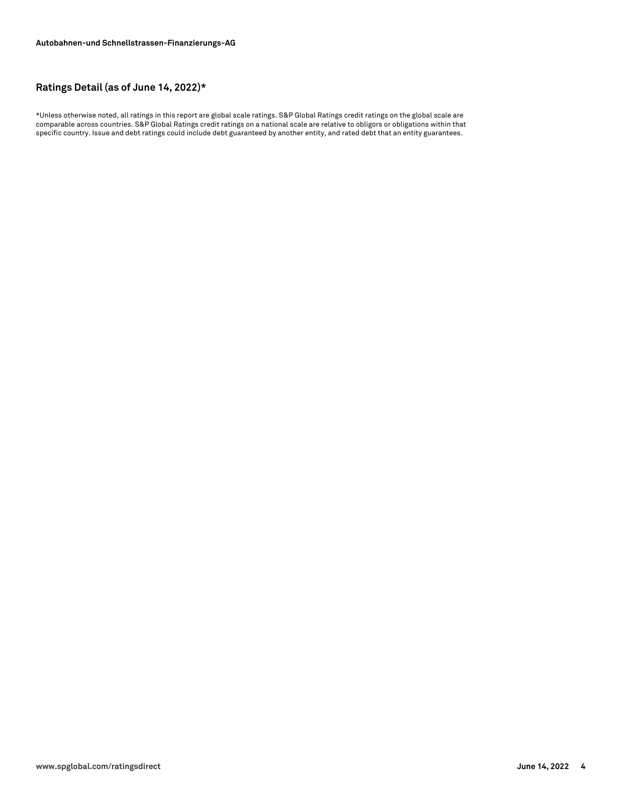#### **Ratings Detail (as of June 14, 2022)\***

\*Unless otherwise noted, all ratings in this report are global scale ratings. S&P Global Ratings credit ratings on the global scale are comparable across countries. S&P Global Ratings credit ratings on a national scale are relative to obligors or obligations within that specific country. Issue and debt ratings could include debt guaranteed by another entity, and rated debt that an entity guarantees.